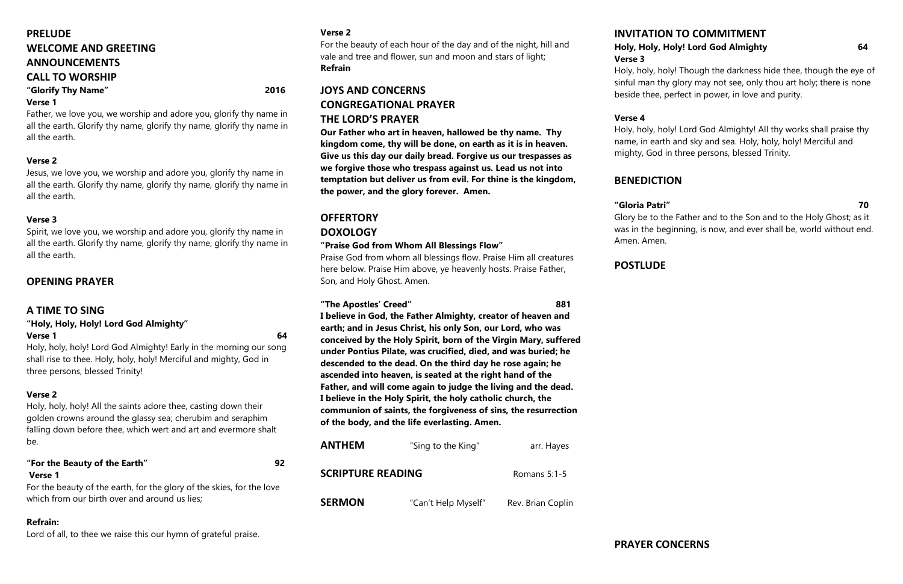# **PRELUDE WELCOME AND GREETING ANNOUNCEMENTS CALL TO WORSHIP**

# **"Glorify Thy Name" 2016**

### **Verse 1**

Father, we love you, we worship and adore you, glorify thy name in all the earth. Glorify thy name, glorify thy name, glorify thy name in all the earth.

#### **Verse 2**

#### **"Holy, Holy, Holy! Lord God Almighty" Verse 1** 64

Jesus, we love you, we worship and adore you, glorify thy name in all the earth. Glorify thy name, glorify thy name, glorify thy name in all the earth.

#### **Verse 3**

Spirit, we love you, we worship and adore you, glorify thy name in all the earth. Glorify thy name, glorify thy name, glorify thy name in all the earth.

For the beauty of the earth, for the glory of the skies, for the love which from our birth over and around us lies;

## **OPENING PRAYER**

## **A TIME TO SING**

Holy, holy, holy! Lord God Almighty! Early in the morning our song shall rise to thee. Holy, holy, holy! Merciful and mighty, God in three persons, blessed Trinity!

### **Verse 2**

Holy, holy, holy! All the saints adore thee, casting down their golden crowns around the glassy sea; cherubim and seraphim falling down before thee, which wert and art and evermore shalt be.

### **"For the Beauty of the Earth" 92 Verse 1**

#### **Refrain:**

Lord of all, to thee we raise this our hymn of grateful praise.

#### **Verse 2**

For the beauty of each hour of the day and of the night, hill and vale and tree and flower, sun and moon and stars of light; **Refrain**

# **JOYS AND CONCERNS CONGREGATIONAL PRAYER THE LORD'S PRAYER**

**Our Father who art in heaven, hallowed be thy name. Thy kingdom come, thy will be done, on earth as it is in heaven. Give us this day our daily bread. Forgive us our trespasses as we forgive those who trespass against us. Lead us not into temptation but deliver us from evil. For thine is the kingdom, the power, and the glory forever. Amen.**

# **OFFERTORY DOXOLOGY**

#### **"Praise God from Whom All Blessings Flow"**

Praise God from whom all blessings flow. Praise Him all creatures here below. Praise Him above, ye heavenly hosts. Praise Father, Son, and Holy Ghost. Amen.

#### **"The Apostles' Creed" 881**

**I believe in God, the Father Almighty, creator of heaven and earth; and in Jesus Christ, his only Son, our Lord, who was conceived by the Holy Spirit, born of the Virgin Mary, suffered under Pontius Pilate, was crucified, died, and was buried; he descended to the dead. On the third day he rose again; he ascended into heaven, is seated at the right hand of the Father, and will come again to judge the living and the dead. I believe in the Holy Spirit, the holy catholic church, the communion of saints, the forgiveness of sins, the resurrection of the body, and the life everlasting. Amen.**

| ANTHEM                   | "Sing to the King"  | arr. Hayes        |
|--------------------------|---------------------|-------------------|
| <b>SCRIPTURE READING</b> |                     | Romans $5:1-5$    |
| <b>SERMON</b>            | "Can't Help Myself" | Rev. Brian Coplin |

# **INVITATION TO COMMITMENT Holy, Holy, Holy! Lord God Almighty 64**

**Verse 3** 

Holy, holy, holy! Though the darkness hide thee, though the eye of sinful man thy glory may not see, only thou art holy; there is none beside thee, perfect in power, in love and purity.

#### **Verse 4**

Holy, holy, holy! Lord God Almighty! All thy works shall praise thy name, in earth and sky and sea. Holy, holy, holy! Merciful and mighty, God in three persons, blessed Trinity.

# **BENEDICTION**

### **"Gloria Patri" 70**

Glory be to the Father and to the Son and to the Holy Ghost; as it was in the beginning, is now, and ever shall be, world without end. Amen. Amen.

# **POSTLUDE**